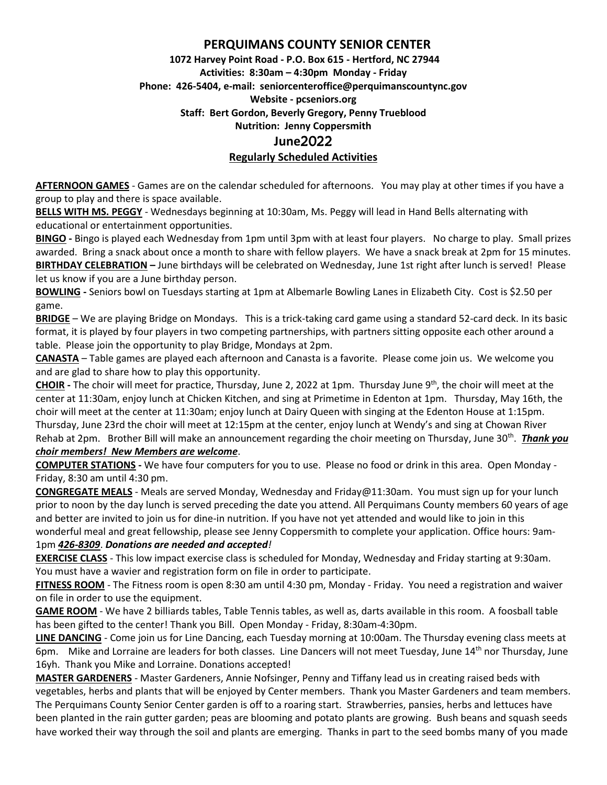# **PERQUIMANS COUNTY SENIOR CENTER**

# **1072 Harvey Point Road - P.O. Box 615 - Hertford, NC 27944 Activities: 8:30am – 4:30pm Monday - Friday Phone: 426-5404, e-mail: seniorcenteroffice@perquimanscountync.gov Website - pcseniors.org Staff: Bert Gordon, Beverly Gregory, Penny Trueblood Nutrition: Jenny Coppersmith June**2022 **Regularly Scheduled Activities**

**AFTERNOON GAMES** - Games are on the calendar scheduled for afternoons. You may play at other times if you have a group to play and there is space available.

**BELLS WITH MS. PEGGY** - Wednesdays beginning at 10:30am, Ms. Peggy will lead in Hand Bells alternating with educational or entertainment opportunities.

**BINGO -** Bingo is played each Wednesday from 1pm until 3pm with at least four players. No charge to play. Small prizes awarded. Bring a snack about once a month to share with fellow players. We have a snack break at 2pm for 15 minutes. **BIRTHDAY CELEBRATION –** June birthdays will be celebrated on Wednesday, June 1st right after lunch is served! Please let us know if you are a June birthday person.

**BOWLING -** Seniors bowl on Tuesdays starting at 1pm at Albemarle Bowling Lanes in Elizabeth City. Cost is \$2.50 per game.

**BRIDGE** – We are playing Bridge on Mondays. This is a trick-taking card game using a standard 52-card deck. In its basic format, it is played by four players in two competing partnerships, with partners sitting opposite each other around a table. Please join the opportunity to play Bridge, Mondays at 2pm.

**CANASTA** – Table games are played each afternoon and Canasta is a favorite. Please come join us. We welcome you and are glad to share how to play this opportunity.

**CHOIR -** The choir will meet for practice, Thursday, June 2, 2022 at 1pm. Thursday June 9th, the choir will meet at the center at 11:30am, enjoy lunch at Chicken Kitchen, and sing at Primetime in Edenton at 1pm. Thursday, May 16th, the choir will meet at the center at 11:30am; enjoy lunch at Dairy Queen with singing at the Edenton House at 1:15pm. Thursday, June 23rd the choir will meet at 12:15pm at the center, enjoy lunch at Wendy's and sing at Chowan River Rehab at 2pm. Brother Bill will make an announcement regarding the choir meeting on Thursday, June 30<sup>th</sup>. **Thank you** 

#### *choir members! New Members are welcome*.

**COMPUTER STATIONS -** We have four computers for you to use. Please no food or drink in this area. Open Monday - Friday, 8:30 am until 4:30 pm.

**CONGREGATE MEALS** - Meals are served Monday, Wednesday and Friday@11:30am. You must sign up for your lunch prior to noon by the day lunch is served preceding the date you attend. All Perquimans County members 60 years of age and better are invited to join us for dine-in nutrition. If you have not yet attended and would like to join in this wonderful meal and great fellowship, please see Jenny Coppersmith to complete your application. Office hours: 9am-

### 1pm *426-8309*. *Donations are needed and accepted!*

**EXERCISE CLASS** - This low impact exercise class is scheduled for Monday, Wednesday and Friday starting at 9:30am. You must have a wavier and registration form on file in order to participate.

**FITNESS ROOM** - The Fitness room is open 8:30 am until 4:30 pm, Monday - Friday. You need a registration and waiver on file in order to use the equipment.

**GAME ROOM** - We have 2 billiards tables, Table Tennis tables, as well as, darts available in this room. A foosball table has been gifted to the center! Thank you Bill. Open Monday - Friday, 8:30am-4:30pm.

**LINE DANCING** - Come join us for Line Dancing, each Tuesday morning at 10:00am. The Thursday evening class meets at 6pm. Mike and Lorraine are leaders for both classes. Line Dancers will not meet Tuesday, June 14<sup>th</sup> nor Thursday, June 16yh. Thank you Mike and Lorraine. Donations accepted!

**MASTER GARDENERS** - Master Gardeners, Annie Nofsinger, Penny and Tiffany lead us in creating raised beds with vegetables, herbs and plants that will be enjoyed by Center members. Thank you Master Gardeners and team members. The Perquimans County Senior Center garden is off to a roaring start. Strawberries, pansies, herbs and lettuces have been planted in the rain gutter garden; peas are blooming and potato plants are growing. Bush beans and squash seeds have worked their way through the soil and plants are emerging. Thanks in part to the seed bombs many of you made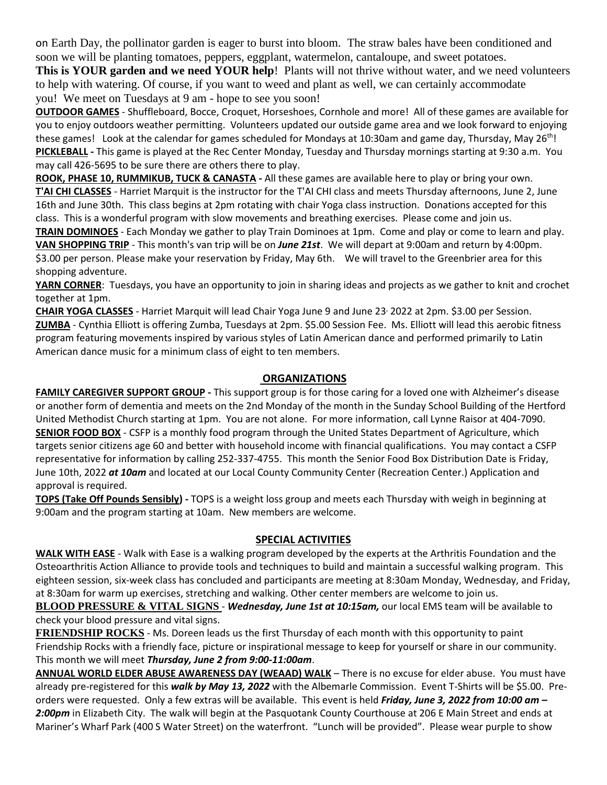on Earth Day, the pollinator garden is eager to burst into bloom. The straw bales have been conditioned and soon we will be planting tomatoes, peppers, eggplant, watermelon, cantaloupe, and sweet potatoes.

**This is YOUR garden and we need YOUR help**! Plants will not thrive without water, and we need volunteers to help with watering. Of course, if you want to weed and plant as well, we can certainly accommodate you! We meet on Tuesdays at 9 am - hope to see you soon!

**OUTDOOR GAMES** - Shuffleboard, Bocce, Croquet, Horseshoes, Cornhole and more! All of these games are available for you to enjoy outdoors weather permitting. Volunteers updated our outside game area and we look forward to enjoying these games! Look at the calendar for games scheduled for Mondays at 10:30am and game day, Thursday, May 26<sup>th</sup>! **PICKLEBALL -** This game is played at the Rec Center Monday, Tuesday and Thursday mornings starting at 9:30 a.m. You may call 426-5695 to be sure there are others there to play.

**ROOK, PHASE 10, RUMMIKUB, TUCK & CANASTA -** All these games are available here to play or bring your own. **T'AI CHI CLASSES** - Harriet Marquit is the instructor for the T'AI CHI class and meets Thursday afternoons, June 2, June 16th and June 30th. This class begins at 2pm rotating with chair Yoga class instruction. Donations accepted for this class. This is a wonderful program with slow movements and breathing exercises. Please come and join us.

**TRAIN DOMINOES** - Each Monday we gather to play Train Dominoes at 1pm. Come and play or come to learn and play. **VAN SHOPPING TRIP** - This month's van trip will be on *June 21st*. We will depart at 9:00am and return by 4:00pm. \$3.00 per person. Please make your reservation by Friday, May 6th. We will travel to the Greenbrier area for this shopping adventure.

**YARN CORNER**: Tuesdays, you have an opportunity to join in sharing ideas and projects as we gather to knit and crochet together at 1pm.

**CHAIR YOGA CLASSES** - Harriet Marquit will lead Chair Yoga June 9 and June 23, 2022 at 2pm. \$3.00 per Session. **ZUMBA** - Cynthia Elliott is offering Zumba, Tuesdays at 2pm. \$5.00 Session Fee. Ms. Elliott will lead this aerobic fitness program featuring movements inspired by various styles of Latin American dance and performed primarily to Latin American dance music for a minimum class of eight to ten members.

## **ORGANIZATIONS**

**FAMILY CAREGIVER SUPPORT GROUP -** This support group is for those caring for a loved one with Alzheimer's disease or another form of dementia and meets on the 2nd Monday of the month in the Sunday School Building of the Hertford United Methodist Church starting at 1pm. You are not alone. For more information, call Lynne Raisor at 404-7090. **SENIOR FOOD BOX** - CSFP is a monthly food program through the United States Department of Agriculture, which targets senior citizens age 60 and better with household income with financial qualifications. You may contact a CSFP representative for information by calling 252-337-4755. This month the Senior Food Box Distribution Date is Friday, June 10th, 2022 *at 10am* and located at our Local County Community Center (Recreation Center.) Application and approval is required.

**TOPS (Take Off Pounds Sensibly) -** TOPS is a weight loss group and meets each Thursday with weigh in beginning at 9:00am and the program starting at 10am. New members are welcome.

### **SPECIAL ACTIVITIES**

**WALK WITH EASE** - Walk with Ease is a walking program developed by the experts at the Arthritis Foundation and the Osteoarthritis Action Alliance to provide tools and techniques to build and maintain a successful walking program. This eighteen session, six-week class has concluded and participants are meeting at 8:30am Monday, Wednesday, and Friday, at 8:30am for warm up exercises, stretching and walking. Other center members are welcome to join us.

**BLOOD PRESSURE & VITAL SIGNS** - *Wednesday, June 1st at 10:15am,* our local EMS team will be available to check your blood pressure and vital signs.

**FRIENDSHIP ROCKS** - Ms. Doreen leads us the first Thursday of each month with this opportunity to paint Friendship Rocks with a friendly face, picture or inspirational message to keep for yourself or share in our community. This month we will meet *Thursday, June 2 from 9:00-11:00am*.

**ANNUAL WORLD ELDER ABUSE AWARENESS DAY (WEAAD) WALK** – There is no excuse for elder abuse. You must have already pre-registered for this *walk by May 13, 2022* with the Albemarle Commission. Event T-Shirts will be \$5.00. Preorders were requested. Only a few extras will be available. This event is held *Friday, June 3, 2022 from 10:00 am –* 2:00pm in Elizabeth City. The walk will begin at the Pasquotank County Courthouse at 206 E Main Street and ends at Mariner's Wharf Park (400 S Water Street) on the waterfront. "Lunch will be provided". Please wear purple to show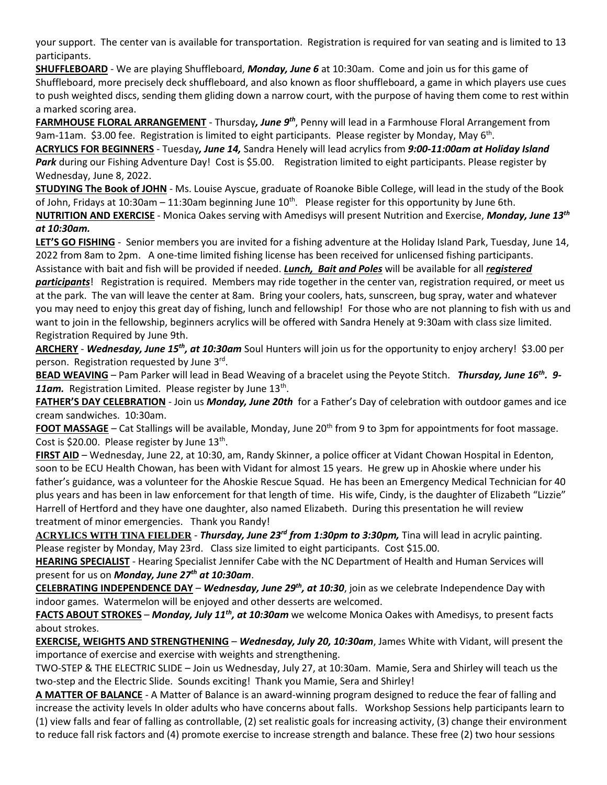your support. The center van is available for transportation. Registration is required for van seating and is limited to 13 participants.

**SHUFFLEBOARD** - We are playing Shuffleboard, *Monday, June 6* at 10:30am. Come and join us for this game of Shuffleboard, more precisely deck shuffleboard, and also known as floor shuffleboard, a game in which players use cues to push weighted discs, sending them gliding down a narrow court, with the purpose of having them come to rest within a marked scoring area.

**FARMHOUSE FLORAL ARRANGEMENT** - Thursday*, June 9th*, Penny will lead in a Farmhouse Floral Arrangement from 9am-11am. \$3.00 fee. Registration is limited to eight participants. Please register by Monday, May 6<sup>th</sup>.

**ACRYLICS FOR BEGINNERS** - Tuesday*, June 14,* Sandra Henely will lead acrylics from *9:00-11:00am at Holiday Island*  Park during our Fishing Adventure Day! Cost is \$5.00. Registration limited to eight participants. Please register by Wednesday, June 8, 2022.

**STUDYING The Book of JOHN** - Ms. Louise Ayscue, graduate of Roanoke Bible College, will lead in the study of the Book of John, Fridays at 10:30am - 11:30am beginning June  $10^{th}$ . Please register for this opportunity by June 6th.

**NUTRITION AND EXERCISE** - Monica Oakes serving with Amedisys will present Nutrition and Exercise, *Monday, June 13th at 10:30am.* 

**LET'S GO FISHING** - Senior members you are invited for a fishing adventure at the Holiday Island Park, Tuesday, June 14, 2022 from 8am to 2pm. A one-time limited fishing license has been received for unlicensed fishing participants.

Assistance with bait and fish will be provided if needed. *Lunch, Bait and Poles* will be available for all *registered* 

*participants*! Registration is required. Members may ride together in the center van, registration required, or meet us at the park. The van will leave the center at 8am. Bring your coolers, hats, sunscreen, bug spray, water and whatever you may need to enjoy this great day of fishing, lunch and fellowship! For those who are not planning to fish with us and want to join in the fellowship, beginners acrylics will be offered with Sandra Henely at 9:30am with class size limited. Registration Required by June 9th.

**ARCHERY** - *Wednesday, June 15th, at 10:30am* Soul Hunters will join us for the opportunity to enjoy archery! \$3.00 per person. Registration requested by June 3rd.

**BEAD WEAVING** – Pam Parker will lead in Bead Weaving of a bracelet using the Peyote Stitch. *Thursday, June 16th. 9-* 11am. Registration Limited. Please register by June 13<sup>th</sup>.

**FATHER'S DAY CELEBRATION** - Join us *Monday, June 20th* for a Father's Day of celebration with outdoor games and ice cream sandwiches. 10:30am.

**FOOT MASSAGE** – Cat Stallings will be available, Monday, June 20<sup>th</sup> from 9 to 3pm for appointments for foot massage. Cost is \$20.00. Please register by June 13<sup>th</sup>.

**FIRST AID** – Wednesday, June 22, at 10:30, am, Randy Skinner, a police officer at Vidant Chowan Hospital in Edenton, soon to be ECU Health Chowan, has been with Vidant for almost 15 years. He grew up in Ahoskie where under his father's guidance, was a volunteer for the Ahoskie Rescue Squad. He has been an Emergency Medical Technician for 40 plus years and has been in law enforcement for that length of time. His wife, Cindy, is the daughter of Elizabeth "Lizzie" Harrell of Hertford and they have one daughter, also named Elizabeth. During this presentation he will review treatment of minor emergencies. Thank you Randy!

**ACRYLICS WITH TINA FIELDER** - *Thursday, June 23rd from 1:30pm to 3:30pm,* Tina will lead in acrylic painting. Please register by Monday, May 23rd. Class size limited to eight participants. Cost \$15.00.

**HEARING SPECIALIST** - Hearing Specialist Jennifer Cabe with the NC Department of Health and Human Services will present for us on *Monday, June 27th at 10:30am*.

**CELEBRATING INDEPENDENCE DAY** – *Wednesday, June 29th, at 10:30*, join as we celebrate Independence Day with indoor games. Watermelon will be enjoyed and other desserts are welcomed.

**FACTS ABOUT STROKES** – *Monday, July 11th, at 10:30am* we welcome Monica Oakes with Amedisys, to present facts about strokes.

**EXERCISE, WEIGHTS AND STRENGTHENING** – *Wednesday, July 20, 10:30am*, James White with Vidant, will present the importance of exercise and exercise with weights and strengthening.

TWO-STEP & THE ELECTRIC SLIDE – Join us Wednesday, July 27, at 10:30am. Mamie, Sera and Shirley will teach us the two-step and the Electric Slide. Sounds exciting! Thank you Mamie, Sera and Shirley!

**A MATTER OF BALANCE** - A Matter of Balance is an award-winning program designed to reduce the fear of falling and increase the activity levels In older adults who have concerns about falls. Workshop Sessions help participants learn to (1) view falls and fear of falling as controllable, (2) set realistic goals for increasing activity, (3) change their environment to reduce fall risk factors and (4) promote exercise to increase strength and balance. These free (2) two hour sessions